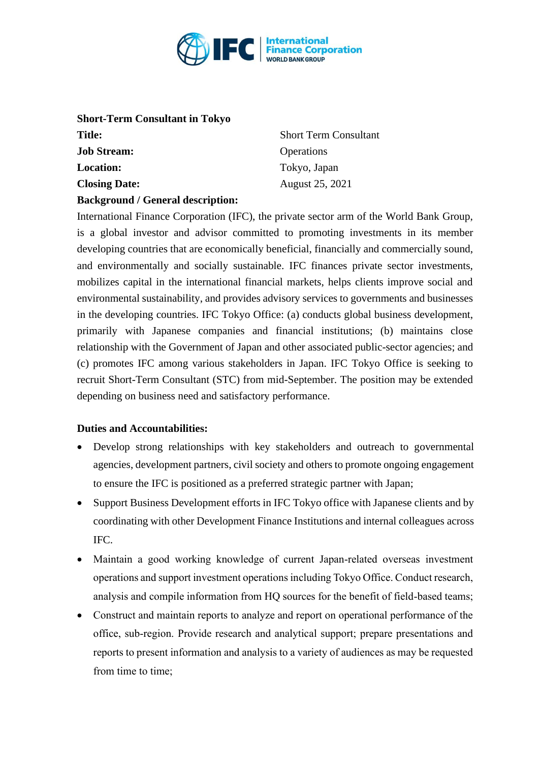

| <b>Short-Term Consultant in Tokyo</b>    |                              |
|------------------------------------------|------------------------------|
| <b>Title:</b>                            | <b>Short Term Consultant</b> |
| <b>Job Stream:</b>                       | Operations                   |
| <b>Location:</b>                         | Tokyo, Japan                 |
| <b>Closing Date:</b>                     | August 25, 2021              |
| <b>Background / General description:</b> |                              |

International Finance Corporation (IFC), the private sector arm of the World Bank Group, is a global investor and advisor committed to promoting investments in its member developing countries that are economically beneficial, financially and commercially sound, and environmentally and socially sustainable. IFC finances private sector investments, mobilizes capital in the international financial markets, helps clients improve social and environmental sustainability, and provides advisory services to governments and businesses in the developing countries. IFC Tokyo Office: (a) conducts global business development, primarily with Japanese companies and financial institutions; (b) maintains close relationship with the Government of Japan and other associated public-sector agencies; and (c) promotes IFC among various stakeholders in Japan. IFC Tokyo Office is seeking to recruit Short-Term Consultant (STC) from mid-September. The position may be extended depending on business need and satisfactory performance.

## **Duties and Accountabilities:**

- Develop strong relationships with key stakeholders and outreach to governmental agencies, development partners, civil society and others to promote ongoing engagement to ensure the IFC is positioned as a preferred strategic partner with Japan;
- Support Business Development efforts in IFC Tokyo office with Japanese clients and by coordinating with other Development Finance Institutions and internal colleagues across IFC.
- Maintain a good working knowledge of current Japan-related overseas investment operations and support investment operations including Tokyo Office. Conduct research, analysis and compile information from HQ sources for the benefit of field-based teams;
- Construct and maintain reports to analyze and report on operational performance of the office, sub-region. Provide research and analytical support; prepare presentations and reports to present information and analysis to a variety of audiences as may be requested from time to time;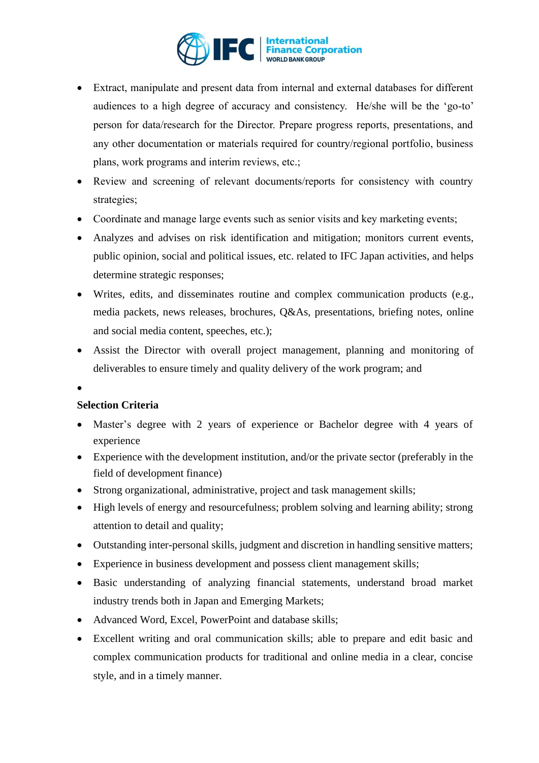

- Extract, manipulate and present data from internal and external databases for different audiences to a high degree of accuracy and consistency. He/she will be the 'go-to' person for data/research for the Director. Prepare progress reports, presentations, and any other documentation or materials required for country/regional portfolio, business plans, work programs and interim reviews, etc.;
- Review and screening of relevant documents/reports for consistency with country strategies;
- Coordinate and manage large events such as senior visits and key marketing events;
- Analyzes and advises on risk identification and mitigation; monitors current events, public opinion, social and political issues, etc. related to IFC Japan activities, and helps determine strategic responses;
- Writes, edits, and disseminates routine and complex communication products (e.g., media packets, news releases, brochures, Q&As, presentations, briefing notes, online and social media content, speeches, etc.);
- Assist the Director with overall project management, planning and monitoring of deliverables to ensure timely and quality delivery of the work program; and
- •

## **Selection Criteria**

- Master's degree with 2 years of experience or Bachelor degree with 4 years of experience
- Experience with the development institution, and/or the private sector (preferably in the field of development finance)
- Strong organizational, administrative, project and task management skills;
- High levels of energy and resourcefulness; problem solving and learning ability; strong attention to detail and quality;
- Outstanding inter-personal skills, judgment and discretion in handling sensitive matters;
- Experience in business development and possess client management skills;
- Basic understanding of analyzing financial statements, understand broad market industry trends both in Japan and Emerging Markets;
- Advanced Word, Excel, PowerPoint and database skills;
- Excellent writing and oral communication skills; able to prepare and edit basic and complex communication products for traditional and online media in a clear, concise style, and in a timely manner.